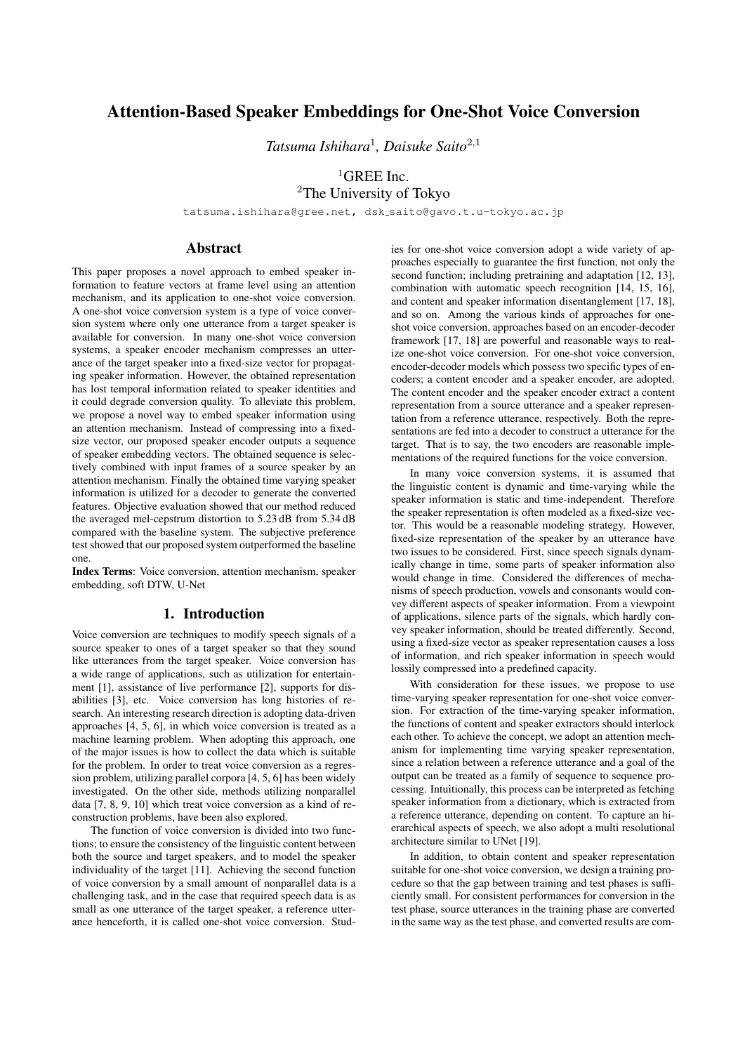# Attention-Based Speaker Embeddings for One-Shot Voice Conversion

*Tatsuma Ishihara*<sup>1</sup> *, Daisuke Saito*<sup>2</sup>*,*<sup>1</sup>

<sup>1</sup>GREE Inc. <sup>2</sup>The University of Tokyo

tatsuma.ishihara@gree.net, dsk saito@gavo.t.u-tokyo.ac.jp

## Abstract

This paper proposes a novel approach to embed speaker information to feature vectors at frame level using an attention mechanism, and its application to one-shot voice conversion. A one-shot voice conversion system is a type of voice conversion system where only one utterance from a target speaker is available for conversion. In many one-shot voice conversion systems, a speaker encoder mechanism compresses an utterance of the target speaker into a fixed-size vector for propagating speaker information. However, the obtained representation has lost temporal information related to speaker identities and it could degrade conversion quality. To alleviate this problem, we propose a novel way to embed speaker information using an attention mechanism. Instead of compressing into a fixedsize vector, our proposed speaker encoder outputs a sequence of speaker embedding vectors. The obtained sequence is selectively combined with input frames of a source speaker by an attention mechanism. Finally the obtained time varying speaker information is utilized for a decoder to generate the converted features. Objective evaluation showed that our method reduced the averaged mel-cepstrum distortion to 5.23 dB from 5.34 dB compared with the baseline system. The subjective preference test showed that our proposed system outperformed the baseline one.

Index Terms: Voice conversion, attention mechanism, speaker embedding, soft DTW, U-Net

### 1. Introduction

Voice conversion are techniques to modify speech signals of a source speaker to ones of a target speaker so that they sound like utterances from the target speaker. Voice conversion has a wide range of applications, such as utilization for entertainment [1], assistance of live performance [2], supports for disabilities [3], etc. Voice conversion has long histories of research. An interesting research direction is adopting data-driven approaches [4, 5, 6], in which voice conversion is treated as a machine learning problem. When adopting this approach, one of the major issues is how to collect the data which is suitable for the problem. In order to treat voice conversion as a regression problem, utilizing parallel corpora [4, 5, 6] has been widely investigated. On the other side, methods utilizing nonparallel data [7, 8, 9, 10] which treat voice conversion as a kind of reconstruction problems, have been also explored.

The function of voice conversion is divided into two functions; to ensure the consistency of the linguistic content between both the source and target speakers, and to model the speaker individuality of the target [11]. Achieving the second function of voice conversion by a small amount of nonparallel data is a challenging task, and in the case that required speech data is as small as one utterance of the target speaker, a reference utterance henceforth, it is called one-shot voice conversion. Studies for one-shot voice conversion adopt a wide variety of approaches especially to guarantee the first function, not only the second function; including pretraining and adaptation [12, 13], combination with automatic speech recognition [14, 15, 16], and content and speaker information disentanglement [17, 18], and so on. Among the various kinds of approaches for oneshot voice conversion, approaches based on an encoder-decoder framework [17, 18] are powerful and reasonable ways to realize one-shot voice conversion. For one-shot voice conversion, encoder-decoder models which possess two specific types of encoders; a content encoder and a speaker encoder, are adopted. The content encoder and the speaker encoder extract a content representation from a source utterance and a speaker representation from a reference utterance, respectively. Both the representations are fed into a decoder to construct a utterance for the target. That is to say, the two encoders are reasonable implementations of the required functions for the voice conversion.

In many voice conversion systems, it is assumed that the linguistic content is dynamic and time-varying while the speaker information is static and time-independent. Therefore the speaker representation is often modeled as a fixed-size vector. This would be a reasonable modeling strategy. However, fixed-size representation of the speaker by an utterance have two issues to be considered. First, since speech signals dynamically change in time, some parts of speaker information also would change in time. Considered the differences of mechanisms of speech production, vowels and consonants would convey different aspects of speaker information. From a viewpoint of applications, silence parts of the signals, which hardly convey speaker information, should be treated differently. Second, using a fixed-size vector as speaker representation causes a loss of information, and rich speaker information in speech would lossily compressed into a predefined capacity.

With consideration for these issues, we propose to use time-varying speaker representation for one-shot voice conversion. For extraction of the time-varying speaker information, the functions of content and speaker extractors should interlock each other. To achieve the concept, we adopt an attention mechanism for implementing time varying speaker representation, since a relation between a reference utterance and a goal of the output can be treated as a family of sequence to sequence processing. Intuitionally, this process can be interpreted as fetching speaker information from a dictionary, which is extracted from a reference utterance, depending on content. To capture an hierarchical aspects of speech, we also adopt a multi resolutional architecture similar to UNet [19].

In addition, to obtain content and speaker representation suitable for one-shot voice conversion, we design a training procedure so that the gap between training and test phases is sufficiently small. For consistent performances for conversion in the test phase, source utterances in the training phase are converted in the same way as the test phase, and converted results are com-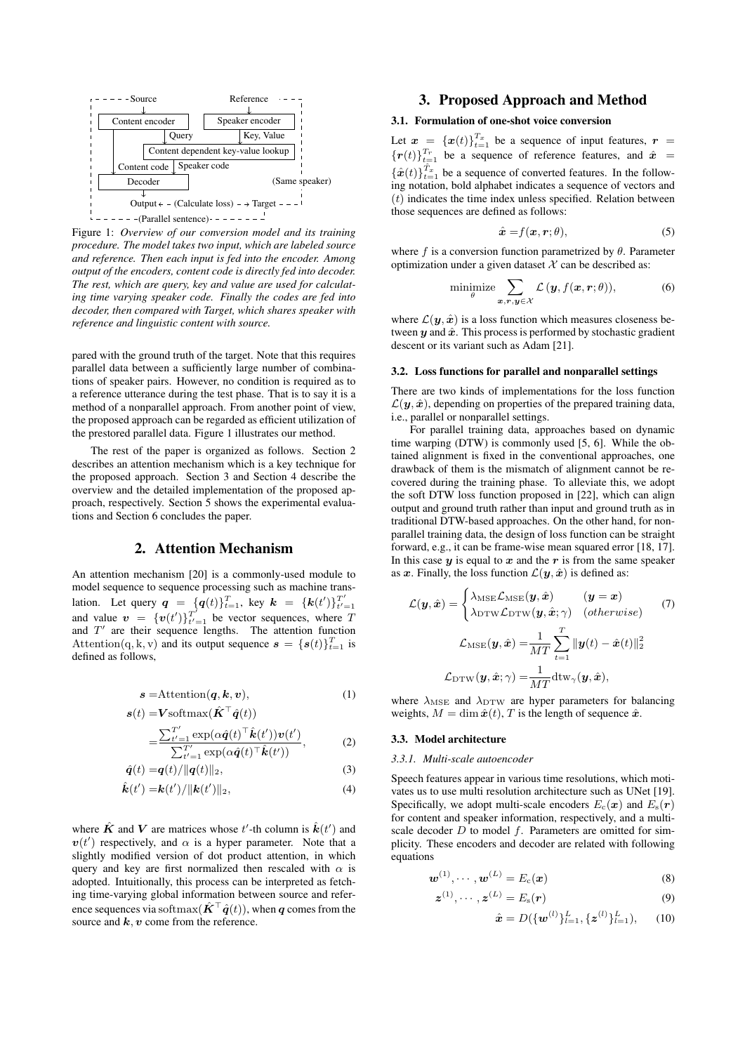

Figure 1: *Overview of our conversion model and its training procedure. The model takes two input, which are labeled source and reference. Then each input is fed into the encoder. Among output of the encoders, content code is directly fed into decoder. The rest, which are query, key and value are used for calculating time varying speaker code. Finally the codes are fed into decoder, then compared with Target, which shares speaker with reference and linguistic content with source.*

pared with the ground truth of the target. Note that this requires parallel data between a sufficiently large number of combinations of speaker pairs. However, no condition is required as to a reference utterance during the test phase. That is to say it is a method of a nonparallel approach. From another point of view, the proposed approach can be regarded as efficient utilization of the prestored parallel data. Figure 1 illustrates our method.

The rest of the paper is organized as follows. Section 2 describes an attention mechanism which is a key technique for the proposed approach. Section 3 and Section 4 describe the overview and the detailed implementation of the proposed approach, respectively. Section 5 shows the experimental evaluations and Section 6 concludes the paper.

### 2. Attention Mechanism

An attention mechanism [20] is a commonly-used module to model sequence to sequence processing such as machine translation. Let query  $q = \{q(t)\}_{t=1}^T$ , key  $k = \{k(t')\}_{t'=1}^{T'}$ <br>and value  $v = \{v(t')\}_{t'=1}^{T'}$  be vector sequences, where T and *T ′* are their sequence lengths. The attention function Attention(q, k, v) and its output sequence  $\mathbf{s} = {\{\mathbf{s}(t)\}}_{t=1}^T$  is defined as follows,

$$
s = \text{Attention}(q, k, v), \tag{1}
$$

$$
\boldsymbol{s}(t) = \mathbf{V} \text{softmax}(\hat{\boldsymbol{K}}^{\top} \hat{\boldsymbol{q}}(t))
$$

$$
=\frac{\sum_{t'=1}^{T'}\exp(\alpha\hat{\boldsymbol{q}}(t)^{\top}\hat{\boldsymbol{k}}(t'))\boldsymbol{v}(t')}{\sum_{t'=1}^{T'}\exp(\alpha\hat{\boldsymbol{q}}(t)^{\top}\hat{\boldsymbol{k}}(t'))},\qquad(2)
$$

$$
\hat{\boldsymbol{q}}(t) = \boldsymbol{q}(t) / \|\boldsymbol{q}(t)\|_2,\tag{3}
$$

$$
\hat{\boldsymbol{k}}(t') = \boldsymbol{k}(t') / ||\boldsymbol{k}(t')||_2, \tag{4}
$$

where  $\hat{K}$  and  $V$  are matrices whose  $t'$ -th column is  $\hat{k}(t')$  and  $v(t')$  respectively, and  $\alpha$  is a hyper parameter. Note that a slightly modified version of dot product attention, in which query and key are first normalized then rescaled with  $\alpha$  is adopted. Intuitionally, this process can be interpreted as fetching time-varying global information between source and reference sequences via softmax $(\hat{\mathbf{K}}^{\top} \hat{\mathbf{q}}(t))$ , when *q* comes from the source and *k, v* come from the reference.

## 3. Proposed Approach and Method

## 3.1. Formulation of one-shot voice conversion

Let  $\boldsymbol{x} = {\boldsymbol{x}(t)}_{t=1}^{T_x}$  be a sequence of input features,  $\boldsymbol{r} =$  ${ {\bf r}(t) }_{t=1}^{T_r}$  be a sequence of reference features, and  $\hat{\boldsymbol{x}} =$  ${x(t)}_{t=1}^{\hat{T}_x}$  be a sequence of converted features. In the following notation, bold alphabet indicates a sequence of vectors and (*t*) indicates the time index unless specified. Relation between those sequences are defined as follows:

$$
\hat{\mathbf{x}} = f(\mathbf{x}, \mathbf{r}; \theta), \tag{5}
$$

where  $f$  is a conversion function parametrized by  $\theta$ . Parameter optimization under a given dataset  $X$  can be described as:

$$
\underset{\theta}{\text{minimize}} \sum_{\boldsymbol{x}, \boldsymbol{r}, \boldsymbol{y} \in \mathcal{X}} \mathcal{L}(\boldsymbol{y}, f(\boldsymbol{x}, \boldsymbol{r}; \theta)), \tag{6}
$$

where  $\mathcal{L}(\mathbf{y}, \hat{\mathbf{x}})$  is a loss function which measures closeness between  $y$  and  $\hat{x}$ . This process is performed by stochastic gradient descent or its variant such as Adam [21].

#### 3.2. Loss functions for parallel and nonparallel settings

There are two kinds of implementations for the loss function  $\mathcal{L}(\mathbf{y}, \hat{\mathbf{x}})$ , depending on properties of the prepared training data, i.e., parallel or nonparallel settings.

For parallel training data, approaches based on dynamic time warping (DTW) is commonly used [5, 6]. While the obtained alignment is fixed in the conventional approaches, one drawback of them is the mismatch of alignment cannot be recovered during the training phase. To alleviate this, we adopt the soft DTW loss function proposed in [22], which can align output and ground truth rather than input and ground truth as in traditional DTW-based approaches. On the other hand, for nonparallel training data, the design of loss function can be straight forward, e.g., it can be frame-wise mean squared error [18, 17]. In this case  $y$  is equal to  $x$  and the  $r$  is from the same speaker as *x*. Finally, the loss function  $\mathcal{L}(\mathbf{y}, \hat{\mathbf{x}})$  is defined as:

$$
\mathcal{L}(\mathbf{y}, \hat{\mathbf{x}}) = \begin{cases} \lambda_{\text{MSE}} \mathcal{L}_{\text{MSE}}(\mathbf{y}, \hat{\mathbf{x}}) & (\mathbf{y} = \mathbf{x}) \\ \lambda_{\text{DTW}} \mathcal{L}_{\text{DTW}}(\mathbf{y}, \hat{\mathbf{x}}; \gamma) & (\text{otherwise}) \end{cases} (7)
$$

$$
\mathcal{L}_{\text{MSE}}(\mathbf{y}, \hat{\mathbf{x}}) = \frac{1}{MT} \sum_{t=1}^{T} ||\mathbf{y}(t) - \hat{\mathbf{x}}(t)||_2^2
$$

$$
\mathcal{L}_{\text{DTW}}(\mathbf{y}, \hat{\mathbf{x}}; \gamma) = \frac{1}{MT} \text{dtw}_{\gamma}(\mathbf{y}, \hat{\mathbf{x}}),
$$

where  $\lambda_{\text{MSE}}$  and  $\lambda_{\text{DTW}}$  are hyper parameters for balancing weights,  $M = \dim \hat{x}(t)$ , *T* is the length of sequence  $\hat{x}$ .

#### 3.3. Model architecture

#### *3.3.1. Multi-scale autoencoder*

Speech features appear in various time resolutions, which motivates us to use multi resolution architecture such as UNet [19]. Specifically, we adopt multi-scale encoders  $E_c(\mathbf{x})$  and  $E_s(\mathbf{r})$ for content and speaker information, respectively, and a multiscale decoder *D* to model *f*. Parameters are omitted for simplicity. These encoders and decoder are related with following equations

$$
\boldsymbol{w}^{(1)}, \cdots, \boldsymbol{w}^{(L)} = E_{\rm c}(\boldsymbol{x}) \tag{8}
$$

$$
\boldsymbol{z}^{(1)}, \cdots, \boldsymbol{z}^{(L)} = E_{\rm s}(\boldsymbol{r}) \tag{9}
$$

$$
\hat{\boldsymbol{x}} = D(\{\boldsymbol{w}^{(l)}\}_{l=1}^{L}, \{\boldsymbol{z}^{(l)}\}_{l=1}^{L}), \quad (10)
$$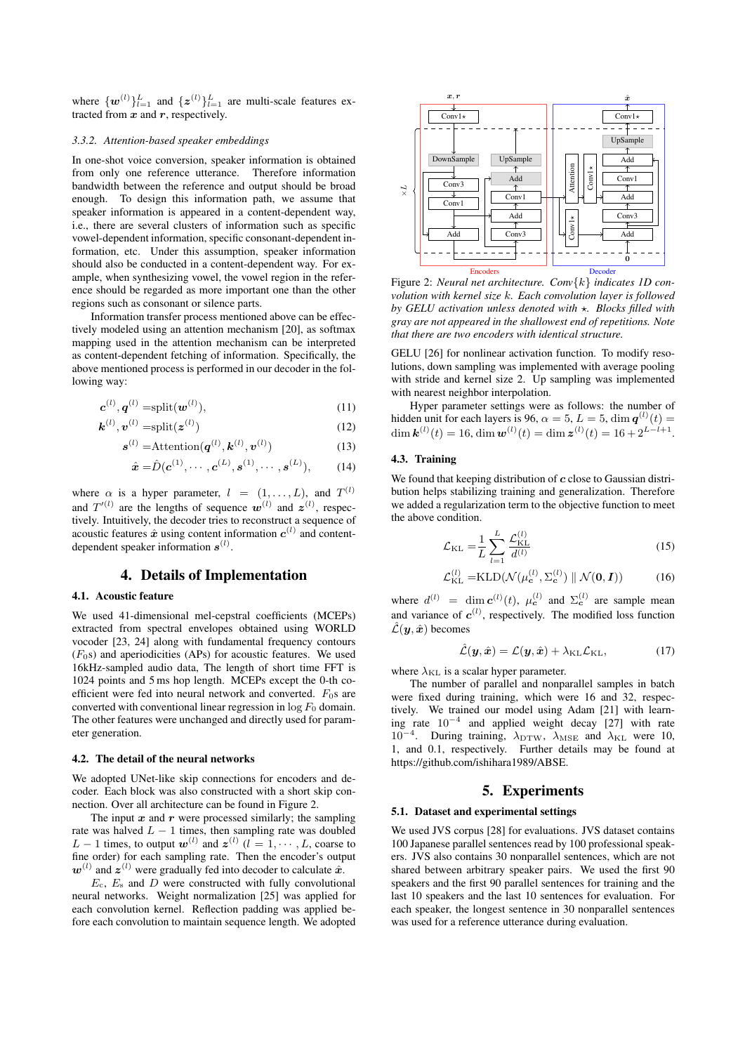where  $\{w^{(l)}\}_{l=1}^L$  and  $\{z^{(l)}\}_{l=1}^L$  are multi-scale features extracted from *x* and *r*, respectively.

#### *3.3.2. Attention-based speaker embeddings*

In one-shot voice conversion, speaker information is obtained from only one reference utterance. Therefore information bandwidth between the reference and output should be broad enough. To design this information path, we assume that speaker information is appeared in a content-dependent way, i.e., there are several clusters of information such as specific vowel-dependent information, specific consonant-dependent information, etc. Under this assumption, speaker information should also be conducted in a content-dependent way. For example, when synthesizing vowel, the vowel region in the reference should be regarded as more important one than the other regions such as consonant or silence parts.

Information transfer process mentioned above can be effectively modeled using an attention mechanism [20], as softmax mapping used in the attention mechanism can be interpreted as content-dependent fetching of information. Specifically, the above mentioned process is performed in our decoder in the following way:

$$
\boldsymbol{c}^{(l)}, \boldsymbol{q}^{(l)} = \text{split}(\boldsymbol{w}^{(l)}),\tag{11}
$$

$$
\boldsymbol{k}^{(l)}, \boldsymbol{v}^{(l)} = \text{split}(\boldsymbol{z}^{(l)})
$$
(12)

$$
\boldsymbol{s}^{(l)} = \text{Attention}(\boldsymbol{q}^{(l)}, \boldsymbol{k}^{(l)}, \boldsymbol{v}^{(l)})
$$
(13)

$$
\hat{\mathbf{x}} = \hat{D}(\mathbf{c}^{(1)}, \cdots, \mathbf{c}^{(L)}, \mathbf{s}^{(1)}, \cdots, \mathbf{s}^{(L)}), \quad (14)
$$

where  $\alpha$  is a hyper parameter,  $l = (1, \ldots, L)$ , and  $T^{(l)}$ and  $T'^{(l)}$  are the lengths of sequence  $w^{(l)}$  and  $z^{(l)}$ , respectively. Intuitively, the decoder tries to reconstruct a sequence of acoustic features  $\hat{x}$  using content information  $c^{(l)}$  and contentdependent speaker information *s* (*l*) .

### 4. Details of Implementation

### 4.1. Acoustic feature

We used 41-dimensional mel-cepstral coefficients (MCEPs) extracted from spectral envelopes obtained using WORLD vocoder [23, 24] along with fundamental frequency contours  $(F<sub>0</sub>s)$  and aperiodicities (APs) for acoustic features. We used 16kHz-sampled audio data, The length of short time FFT is 1024 points and 5 ms hop length. MCEPs except the 0-th coefficient were fed into neural network and converted.  $F_0$ s are converted with conventional linear regression in  $\log F_0$  domain. The other features were unchanged and directly used for parameter generation.

#### 4.2. The detail of the neural networks

We adopted UNet-like skip connections for encoders and decoder. Each block was also constructed with a short skip connection. Over all architecture can be found in Figure 2.

The input  $x$  and  $r$  were processed similarly; the sampling rate was halved  $L - 1$  times, then sampling rate was doubled *L* − 1 times, to output  $w^{(l)}$  and  $z^{(l)}$  ( $l = 1, \dots, L$ , coarse to fine order) for each sampling rate. Then the encoder's output  $w^{(l)}$  and  $z^{(l)}$  were gradually fed into decoder to calculate  $\hat{x}$ .

*E*c, *E*<sup>s</sup> and *D* were constructed with fully convolutional neural networks. Weight normalization [25] was applied for each convolution kernel. Reflection padding was applied before each convolution to maintain sequence length. We adopted



Figure 2: *Neural net architecture. Conv{k} indicates 1D convolution with kernel size k. Each convolution layer is followed by GELU activation unless denoted with ⋆. Blocks filled with gray are not appeared in the shallowest end of repetitions. Note that there are two encoders with identical structure.*

GELU [26] for nonlinear activation function. To modify resolutions, down sampling was implemented with average pooling with stride and kernel size 2. Up sampling was implemented with nearest neighbor interpolation.

Hyper parameter settings were as follows: the number of hidden unit for each layers is 96,  $\alpha = 5$ ,  $L = 5$ ,  $\dim \mathbf{q}^{(l)}(t) =$  $\dim \mathbf{k}^{(l)}(t) = 16, \dim \mathbf{w}^{(l)}(t) = \dim \mathbf{z}^{(l)}(t) = 16 + 2^{L-l+1}.$ 

#### 4.3. Training

We found that keeping distribution of *c* close to Gaussian distribution helps stabilizing training and generalization. Therefore we added a regularization term to the objective function to meet the above condition.

$$
\mathcal{L}_{\rm KL} = \frac{1}{L} \sum_{l=1}^{L} \frac{\mathcal{L}_{\rm KL}^{(l)}}{d^{(l)}} \tag{15}
$$

$$
\mathcal{L}_{\text{KL}}^{(l)} = \text{KLD}(\mathcal{N}(\mu_{\mathbf{c}}^{(l)}, \Sigma_{\mathbf{c}}^{(l)}) \parallel \mathcal{N}(\mathbf{0}, \mathbf{I})) \tag{16}
$$

where  $d^{(l)}$  = dim  $c^{(l)}(t)$ ,  $\mu_c^{(l)}$  and  $\Sigma_c^{(l)}$  are sample mean and variance of  $c^{(l)}$ , respectively. The modified loss function  $\hat{\mathcal{L}}(\boldsymbol{y}, \hat{\boldsymbol{x}})$  becomes

$$
\hat{\mathcal{L}}(\boldsymbol{y}, \hat{\boldsymbol{x}}) = \mathcal{L}(\boldsymbol{y}, \hat{\boldsymbol{x}}) + \lambda_{\mathrm{KL}} \mathcal{L}_{\mathrm{KL}},
$$
\n(17)

where  $\lambda_{\text{KL}}$  is a scalar hyper parameter.

The number of parallel and nonparallel samples in batch were fixed during training, which were 16 and 32, respectively. We trained our model using Adam [21] with learning rate 10*−*<sup>4</sup> and applied weight decay [27] with rate 10<sup>-4</sup>. During training,  $λ_{\text{DTW}}$ ,  $λ_{\text{MSE}}$  and  $λ_{\text{KL}}$  were 10, 1, and 0.1, respectively. Further details may be found at https://github.com/ishihara1989/ABSE.

### 5. Experiments

#### 5.1. Dataset and experimental settings

We used JVS corpus [28] for evaluations. JVS dataset contains 100 Japanese parallel sentences read by 100 professional speakers. JVS also contains 30 nonparallel sentences, which are not shared between arbitrary speaker pairs. We used the first 90 speakers and the first 90 parallel sentences for training and the last 10 speakers and the last 10 sentences for evaluation. For each speaker, the longest sentence in 30 nonparallel sentences was used for a reference utterance during evaluation.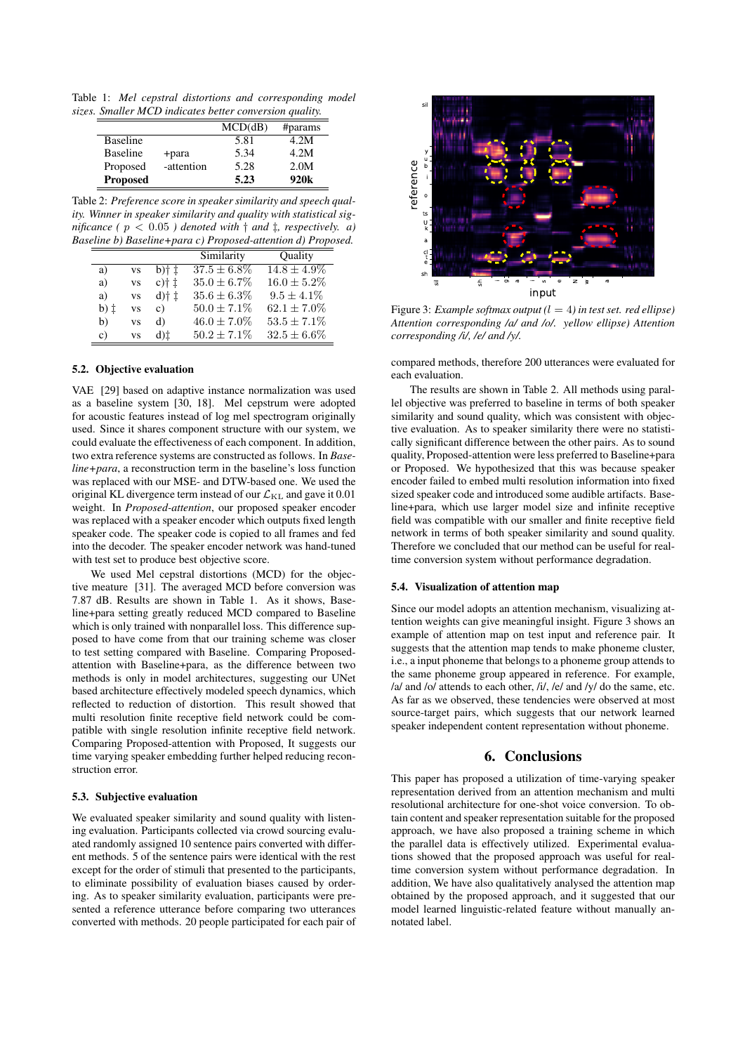Table 1: *Mel cepstral distortions and corresponding model sizes. Smaller MCD indicates better conversion quality.*

|                 |            | MCD(dB) | #params          |
|-----------------|------------|---------|------------------|
| <b>Baseline</b> |            | 5.81    | 4.2M             |
| <b>Baseline</b> | +para      | 5.34    | 4.2M             |
| Proposed        | -attention | 5.28    | 2.0M             |
| <b>Proposed</b> |            | 5.23    | 920 <sub>k</sub> |

Table 2: *Preference score in speaker similarity and speech quality. Winner in speaker similarity and quality with statistical significance* ( $p < 0.05$ ) denoted with  $\dagger$  and  $\dagger$ , respectively. a) *Baseline b) Baseline+para c) Proposed-attention d) Proposed.*

|                | Similarity       | Ouality          |
|----------------|------------------|------------------|
|                | $37.5 \pm 6.8\%$ | $14.8 \pm 4.9\%$ |
| $c$ )† $\pm$   | $35.0 \pm 6.7\%$ | $16.0 \pm 5.2\%$ |
| $d$ )† $\pm$   | $35.6 \pm 6.3\%$ | $9.5 \pm 4.1\%$  |
| $\mathbf{c}$ ) | $50.0 \pm 7.1\%$ | $62.1 \pm 7.0\%$ |
| d)             | $46.0 \pm 7.0\%$ | $53.5 \pm 7.1\%$ |
| d)‡            | $50.2 + 7.1\%$   | $32.5 \pm 6.6\%$ |
|                |                  |                  |

#### 5.2. Objective evaluation

VAE [29] based on adaptive instance normalization was used as a baseline system [30, 18]. Mel cepstrum were adopted for acoustic features instead of log mel spectrogram originally used. Since it shares component structure with our system, we could evaluate the effectiveness of each component. In addition, two extra reference systems are constructed as follows. In *Baseline+para*, a reconstruction term in the baseline's loss function was replaced with our MSE- and DTW-based one. We used the original KL divergence term instead of our  $\mathcal{L}_{\text{KL}}$  and gave it 0.01 weight. In *Proposed-attention*, our proposed speaker encoder was replaced with a speaker encoder which outputs fixed length speaker code. The speaker code is copied to all frames and fed into the decoder. The speaker encoder network was hand-tuned with test set to produce best objective score.

We used Mel cepstral distortions (MCD) for the objective meature [31]. The averaged MCD before conversion was 7.87 dB. Results are shown in Table 1. As it shows, Baseline+para setting greatly reduced MCD compared to Baseline which is only trained with nonparallel loss. This difference supposed to have come from that our training scheme was closer to test setting compared with Baseline. Comparing Proposedattention with Baseline+para, as the difference between two methods is only in model architectures, suggesting our UNet based architecture effectively modeled speech dynamics, which reflected to reduction of distortion. This result showed that multi resolution finite receptive field network could be compatible with single resolution infinite receptive field network. Comparing Proposed-attention with Proposed, It suggests our time varying speaker embedding further helped reducing reconstruction error.

### 5.3. Subjective evaluation

We evaluated speaker similarity and sound quality with listening evaluation. Participants collected via crowd sourcing evaluated randomly assigned 10 sentence pairs converted with different methods. 5 of the sentence pairs were identical with the rest except for the order of stimuli that presented to the participants, to eliminate possibility of evaluation biases caused by ordering. As to speaker similarity evaluation, participants were presented a reference utterance before comparing two utterances converted with methods. 20 people participated for each pair of



Figure 3: *Example softmax output (l* = 4*) in test set. red ellipse) Attention corresponding /a/ and /o/. yellow ellipse) Attention corresponding /i/, /e/ and /y/.*

compared methods, therefore 200 utterances were evaluated for each evaluation.

The results are shown in Table 2. All methods using parallel objective was preferred to baseline in terms of both speaker similarity and sound quality, which was consistent with objective evaluation. As to speaker similarity there were no statistically significant difference between the other pairs. As to sound quality, Proposed-attention were less preferred to Baseline+para or Proposed. We hypothesized that this was because speaker encoder failed to embed multi resolution information into fixed sized speaker code and introduced some audible artifacts. Baseline+para, which use larger model size and infinite receptive field was compatible with our smaller and finite receptive field network in terms of both speaker similarity and sound quality. Therefore we concluded that our method can be useful for realtime conversion system without performance degradation.

#### 5.4. Visualization of attention map

Since our model adopts an attention mechanism, visualizing attention weights can give meaningful insight. Figure 3 shows an example of attention map on test input and reference pair. It suggests that the attention map tends to make phoneme cluster, i.e., a input phoneme that belongs to a phoneme group attends to the same phoneme group appeared in reference. For example, /a/ and /o/ attends to each other, /i/, /e/ and /y/ do the same, etc. As far as we observed, these tendencies were observed at most source-target pairs, which suggests that our network learned speaker independent content representation without phoneme.

#### 6. Conclusions

This paper has proposed a utilization of time-varying speaker representation derived from an attention mechanism and multi resolutional architecture for one-shot voice conversion. To obtain content and speaker representation suitable for the proposed approach, we have also proposed a training scheme in which the parallel data is effectively utilized. Experimental evaluations showed that the proposed approach was useful for realtime conversion system without performance degradation. In addition, We have also qualitatively analysed the attention map obtained by the proposed approach, and it suggested that our model learned linguistic-related feature without manually annotated label.